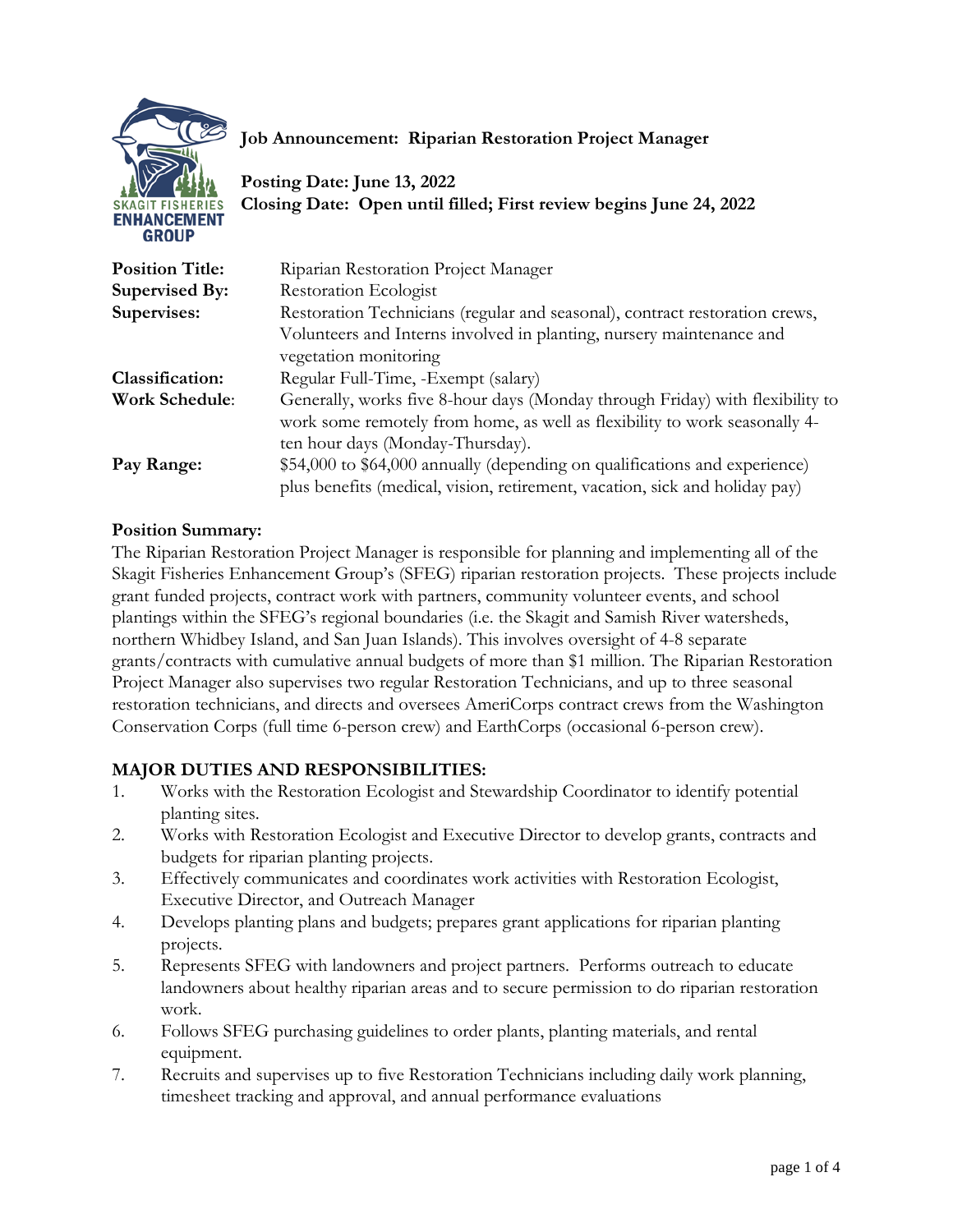

## **Job Announcement: Riparian Restoration Project Manager**

**Posting Date: June 13, 2022 Closing Date: Open until filled; First review begins June 24, 2022**

| <b>Position Title:</b> | Riparian Restoration Project Manager                                          |
|------------------------|-------------------------------------------------------------------------------|
| Supervised By:         | Restoration Ecologist                                                         |
| Supervises:            | Restoration Technicians (regular and seasonal), contract restoration crews,   |
|                        | Volunteers and Interns involved in planting, nursery maintenance and          |
|                        | vegetation monitoring                                                         |
| <b>Classification:</b> | Regular Full-Time, -Exempt (salary)                                           |
| <b>Work Schedule:</b>  | Generally, works five 8-hour days (Monday through Friday) with flexibility to |
|                        | work some remotely from home, as well as flexibility to work seasonally 4-    |
|                        | ten hour days (Monday-Thursday).                                              |
| Pay Range:             | \$54,000 to \$64,000 annually (depending on qualifications and experience)    |
|                        | plus benefits (medical, vision, retirement, vacation, sick and holiday pay)   |

#### **Position Summary:**

The Riparian Restoration Project Manager is responsible for planning and implementing all of the Skagit Fisheries Enhancement Group's (SFEG) riparian restoration projects. These projects include grant funded projects, contract work with partners, community volunteer events, and school plantings within the SFEG's regional boundaries (i.e. the Skagit and Samish River watersheds, northern Whidbey Island, and San Juan Islands). This involves oversight of 4-8 separate grants/contracts with cumulative annual budgets of more than \$1 million. The Riparian Restoration Project Manager also supervises two regular Restoration Technicians, and up to three seasonal restoration technicians, and directs and oversees AmeriCorps contract crews from the Washington Conservation Corps (full time 6-person crew) and EarthCorps (occasional 6-person crew).

## **MAJOR DUTIES AND RESPONSIBILITIES:**

- 1. Works with the Restoration Ecologist and Stewardship Coordinator to identify potential planting sites.
- 2. Works with Restoration Ecologist and Executive Director to develop grants, contracts and budgets for riparian planting projects.
- 3. Effectively communicates and coordinates work activities with Restoration Ecologist, Executive Director, and Outreach Manager
- 4. Develops planting plans and budgets; prepares grant applications for riparian planting projects.
- 5. Represents SFEG with landowners and project partners. Performs outreach to educate landowners about healthy riparian areas and to secure permission to do riparian restoration work.
- 6. Follows SFEG purchasing guidelines to order plants, planting materials, and rental equipment.
- 7. Recruits and supervises up to five Restoration Technicians including daily work planning, timesheet tracking and approval, and annual performance evaluations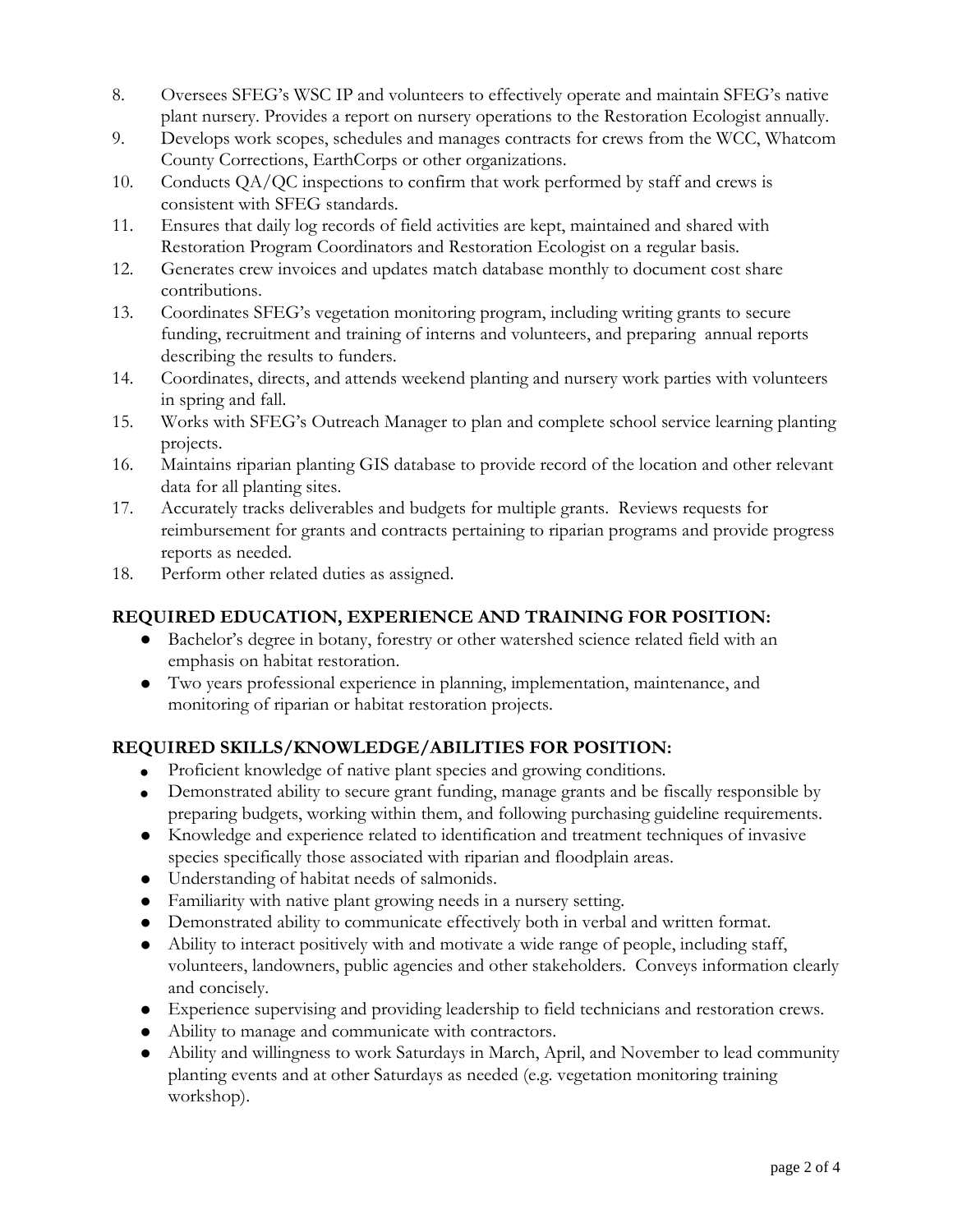- 8. Oversees SFEG's WSC IP and volunteers to effectively operate and maintain SFEG's native plant nursery. Provides a report on nursery operations to the Restoration Ecologist annually.
- 9. Develops work scopes, schedules and manages contracts for crews from the WCC, Whatcom County Corrections, EarthCorps or other organizations.
- 10. Conducts QA/QC inspections to confirm that work performed by staff and crews is consistent with SFEG standards.
- 11. Ensures that daily log records of field activities are kept, maintained and shared with Restoration Program Coordinators and Restoration Ecologist on a regular basis.
- 12. Generates crew invoices and updates match database monthly to document cost share contributions.
- 13. Coordinates SFEG's vegetation monitoring program, including writing grants to secure funding, recruitment and training of interns and volunteers, and preparing annual reports describing the results to funders.
- 14. Coordinates, directs, and attends weekend planting and nursery work parties with volunteers in spring and fall.
- 15. Works with SFEG's Outreach Manager to plan and complete school service learning planting projects.
- 16. Maintains riparian planting GIS database to provide record of the location and other relevant data for all planting sites.
- 17. Accurately tracks deliverables and budgets for multiple grants. Reviews requests for reimbursement for grants and contracts pertaining to riparian programs and provide progress reports as needed.
- 18. Perform other related duties as assigned.

## **REQUIRED EDUCATION, EXPERIENCE AND TRAINING FOR POSITION:**

- Bachelor's degree in botany, forestry or other watershed science related field with an emphasis on habitat restoration.
- Two years professional experience in planning, implementation, maintenance, and monitoring of riparian or habitat restoration projects.

## **REQUIRED SKILLS/KNOWLEDGE/ABILITIES FOR POSITION:**

- Proficient knowledge of native plant species and growing conditions.
- Demonstrated ability to secure grant funding, manage grants and be fiscally responsible by preparing budgets, working within them, and following purchasing guideline requirements.
- Knowledge and experience related to identification and treatment techniques of invasive species specifically those associated with riparian and floodplain areas.
- Understanding of habitat needs of salmonids.
- Familiarity with native plant growing needs in a nursery setting.
- Demonstrated ability to communicate effectively both in verbal and written format.
- Ability to interact positively with and motivate a wide range of people, including staff, volunteers, landowners, public agencies and other stakeholders. Conveys information clearly and concisely.
- Experience supervising and providing leadership to field technicians and restoration crews.
- Ability to manage and communicate with contractors.
- Ability and willingness to work Saturdays in March, April, and November to lead community planting events and at other Saturdays as needed (e.g. vegetation monitoring training workshop).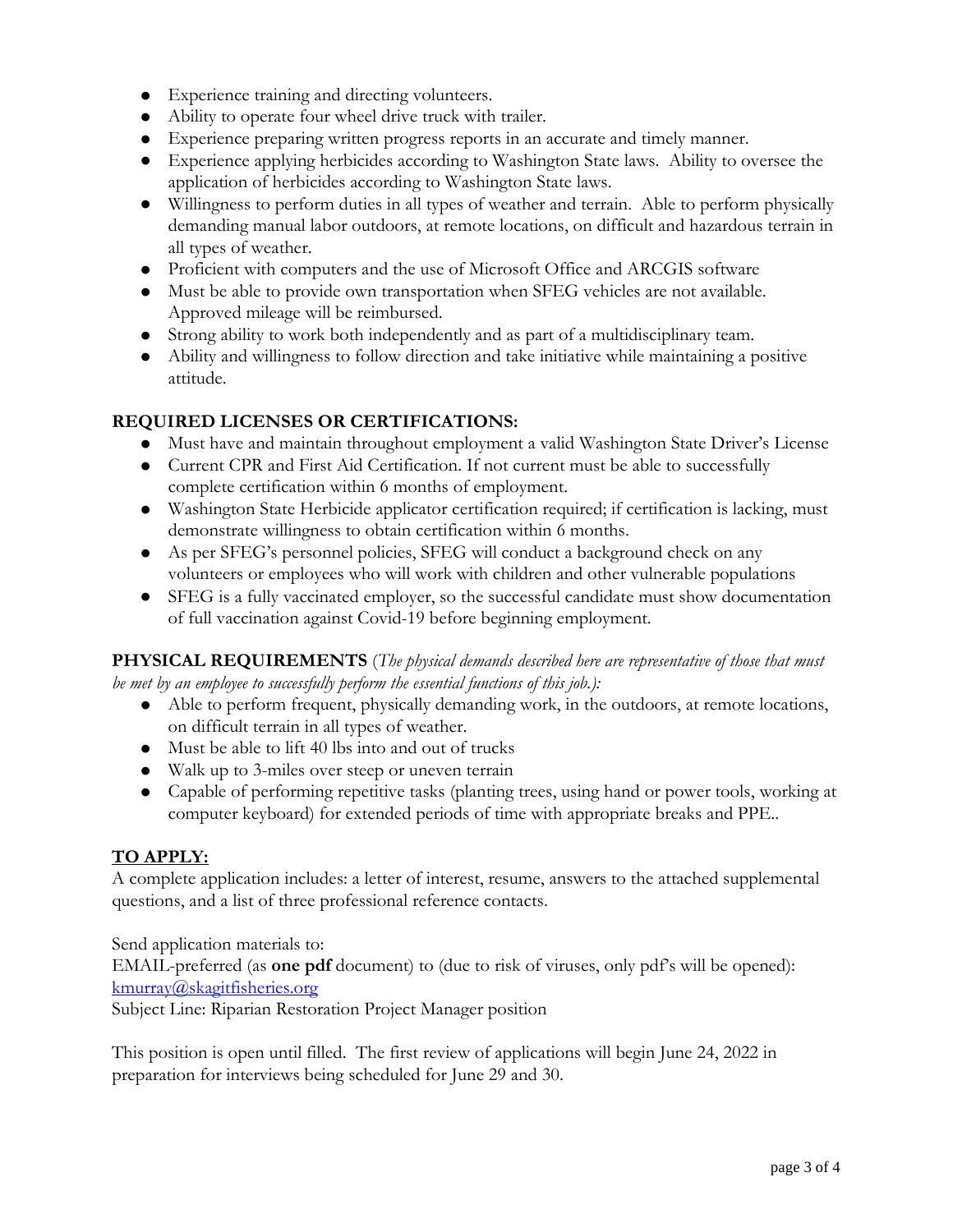- Experience training and directing volunteers.
- Ability to operate four wheel drive truck with trailer.
- Experience preparing written progress reports in an accurate and timely manner.
- Experience applying herbicides according to Washington State laws. Ability to oversee the application of herbicides according to Washington State laws.
- Willingness to perform duties in all types of weather and terrain. Able to perform physically demanding manual labor outdoors, at remote locations, on difficult and hazardous terrain in all types of weather.
- Proficient with computers and the use of Microsoft Office and ARCGIS software
- Must be able to provide own transportation when SFEG vehicles are not available. Approved mileage will be reimbursed.
- Strong ability to work both independently and as part of a multidisciplinary team.
- Ability and willingness to follow direction and take initiative while maintaining a positive attitude.

#### **REQUIRED LICENSES OR CERTIFICATIONS:**

- Must have and maintain throughout employment a valid Washington State Driver's License
- Current CPR and First Aid Certification. If not current must be able to successfully complete certification within 6 months of employment.
- Washington State Herbicide applicator certification required; if certification is lacking, must demonstrate willingness to obtain certification within 6 months.
- As per SFEG's personnel policies, SFEG will conduct a background check on any volunteers or employees who will work with children and other vulnerable populations
- SFEG is a fully vaccinated employer, so the successful candidate must show documentation of full vaccination against Covid-19 before beginning employment.

**PHYSICAL REQUIREMENTS** (*The physical demands described here are representative of those that must be met by an employee to successfully perform the essential functions of this job.):*

- Able to perform frequent, physically demanding work, in the outdoors, at remote locations, on difficult terrain in all types of weather.
- Must be able to lift 40 lbs into and out of trucks
- Walk up to 3-miles over steep or uneven terrain
- Capable of performing repetitive tasks (planting trees, using hand or power tools, working at computer keyboard) for extended periods of time with appropriate breaks and PPE..

## **TO APPLY:**

A complete application includes: a letter of interest, resume, answers to the attached supplemental questions, and a list of three professional reference contacts.

Send application materials to: EMAIL-preferred (as **one pdf** document) to (due to risk of viruses, only pdf's will be opened): [kmurray@skagitfisheries.org](mailto:kmurray@skagitfisheries.org) 

Subject Line: Riparian Restoration Project Manager position

This position is open until filled. The first review of applications will begin June 24, 2022 in preparation for interviews being scheduled for June 29 and 30.